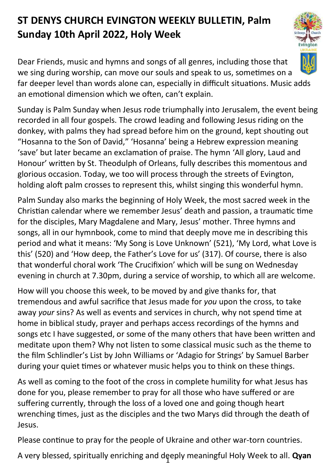## **ST DENYS CHURCH EVINGTON WEEKLY BULLETIN, Palm Sunday 10th April 2022, Holy Week**

Dear Friends, music and hymns and songs of all genres, including those that we sing during worship, can move our souls and speak to us, sometimes on a far deeper level than words alone can, especially in difficult situations. Music adds an emotional dimension which we often, can't explain.

Sunday is Palm Sunday when Jesus rode triumphally into Jerusalem, the event being recorded in all four gospels. The crowd leading and following Jesus riding on the donkey, with palms they had spread before him on the ground, kept shouting out "Hosanna to the Son of David," 'Hosanna' being a Hebrew expression meaning 'save' but later became an exclamation of praise. The hymn 'All glory, Laud and Honour' written by St. Theodulph of Orleans, fully describes this momentous and glorious occasion. Today, we too will process through the streets of Evington, holding aloft palm crosses to represent this, whilst singing this wonderful hymn.

Palm Sunday also marks the beginning of Holy Week, the most sacred week in the Christian calendar where we remember Jesus' death and passion, a traumatic time for the disciples, Mary Magdalene and Mary, Jesus' mother. Three hymns and songs, all in our hymnbook, come to mind that deeply move me in describing this period and what it means: 'My Song is Love Unknown' (521), 'My Lord, what Love is this' (520) and 'How deep, the Father's Love for us' (317). Of course, there is also that wonderful choral work 'The Crucifixion' which will be sung on Wednesday evening in church at 7.30pm, during a service of worship, to which all are welcome.

How will you choose this week, to be moved by and give thanks for, that tremendous and awful sacrifice that Jesus made for *you* upon the cross, to take away *your* sins? As well as events and services in church, why not spend time at home in biblical study, prayer and perhaps access recordings of the hymns and songs etc I have suggested, or some of the many others that have been written and meditate upon them? Why not listen to some classical music such as the theme to the film Schlindler's List by John Williams or 'Adagio for Strings' by Samuel Barber during your quiet times or whatever music helps you to think on these things.

As well as coming to the foot of the cross in complete humility for what Jesus has done for you, please remember to pray for all those who have suffered or are suffering currently, through the loss of a loved one and going though heart wrenching times, just as the disciples and the two Marys did through the death of Jesus.

Please continue to pray for the people of Ukraine and other war-torn countries.

1 A very blessed, spiritually enriching and deeply meaningful Holy Week to all. **Qyan**

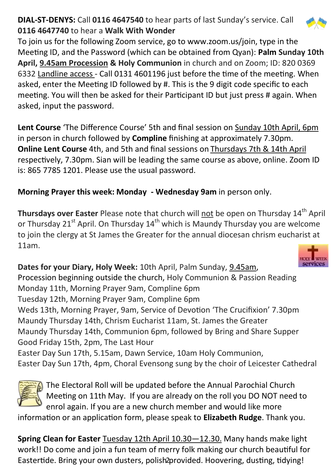## **DIAL-ST-DENYS:** Call **0116 4647540** to hear parts of last Sunday's service. Call **0116 4647740** to hear a **Walk With Wonder**

To join us for the following Zoom service, go to www.zoom.us/join, type in the Meeting ID, and the Password (which can be obtained from Qyan): **Palm Sunday 10th April, 9.45am Procession & Holy Communion** in church and on Zoom; ID: 820 0369 6332 Landline access - Call 0131 4601196 just before the time of the meeting. When asked, enter the Meeting ID followed by #. This is the 9 digit code specific to each meeting. You will then be asked for their Participant ID but just press # again. When asked, input the password.

**Lent Course** 'The Difference Course' 5th and final session on Sunday 10th April, 6pm in person in church followed by **Compline** finishing at approximately 7.30pm. **Online Lent Course** 4th, and 5th and final sessions on Thursdays 7th & 14th April respectively, 7.30pm. Sian will be leading the same course as above, online. Zoom ID is: 865 7785 1201. Please use the usual password.

**Morning Prayer this week: Monday - Wednesday 9am** in person only.

**Thursdays over Easter** Please note that church will not be open on Thursday 14<sup>th</sup> April or Thursday 21<sup>st</sup> April. On Thursday  $14<sup>th</sup>$  which is Maundy Thursday you are welcome to join the clergy at St James the Greater for the annual diocesan chrism eucharist at 11am.

**Dates for your Diary, Holy Week:** 10th April, Palm Sunday, 9.45am, Procession beginning outside the church, Holy Communion & Passion Reading Monday 11th, Morning Prayer 9am, Compline 6pm Tuesday 12th, Morning Prayer 9am, Compline 6pm Weds 13th, Morning Prayer, 9am, Service of Devotion 'The Crucifixion' 7.30pm Maundy Thursday 14th, Chrism Eucharist 11am, St. James the Greater Maundy Thursday 14th, Communion 6pm, followed by Bring and Share Supper Good Friday 15th, 2pm, The Last Hour Easter Day Sun 17th, 5.15am, Dawn Service, 10am Holy Communion, Easter Day Sun 17th, 4pm, Choral Evensong sung by the choir of Leicester Cathedral



The Electoral Roll will be updated before the Annual Parochial Church Meeting on 11th May. If you are already on the roll you DO NOT need to enrol again. If you are a new church member and would like more

information or an application form, please speak to **Elizabeth Rudge**. Thank you.

Eastertide. Bring your own dusters, polish 2provided. Hoovering, dusting, tidying! **Spring Clean for Easter** Tuesday 12th April 10.30—12.30. Many hands make light work!! Do come and join a fun team of merry folk making our church beautiful for



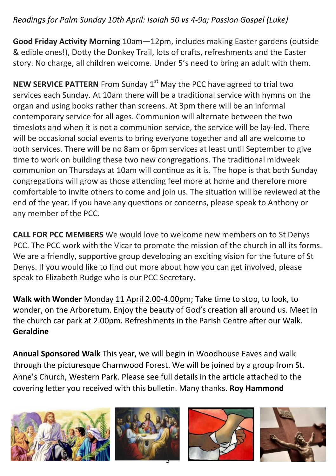## *Readings for Palm Sunday 10th April: Isaiah 50 vs 4-9a; Passion Gospel (Luke)*

**Good Friday Activity Morning** 10am—12pm, includes making Easter gardens (outside & edible ones!), Dotty the Donkey Trail, lots of crafts, refreshments and the Easter story. No charge, all children welcome. Under 5's need to bring an adult with them.

**NEW SERVICE PATTERN** From Sunday 1<sup>st</sup> May the PCC have agreed to trial two services each Sunday. At 10am there will be a traditional service with hymns on the organ and using books rather than screens. At 3pm there will be an informal contemporary service for all ages. Communion will alternate between the two timeslots and when it is not a communion service, the service will be lay-led. There will be occasional social events to bring everyone together and all are welcome to both services. There will be no 8am or 6pm services at least until September to give time to work on building these two new congregations. The traditional midweek communion on Thursdays at 10am will continue as it is. The hope is that both Sunday congregations will grow as those attending feel more at home and therefore more comfortable to invite others to come and join us. The situation will be reviewed at the end of the year. If you have any questions or concerns, please speak to Anthony or any member of the PCC.

**CALL FOR PCC MEMBERS** We would love to welcome new members on to St Denys PCC. The PCC work with the Vicar to promote the mission of the church in all its forms. We are a friendly, supportive group developing an exciting vision for the future of St Denys. If you would like to find out more about how you can get involved, please speak to Elizabeth Rudge who is our PCC Secretary.

**Walk with Wonder** Monday 11 April 2.00-4.00pm; Take time to stop, to look, to wonder, on the Arboretum. Enjoy the beauty of God's creation all around us. Meet in the church car park at 2.00pm. Refreshments in the Parish Centre after our Walk. **Geraldine**

**Annual Sponsored Walk** This year, we will begin in Woodhouse Eaves and walk through the picturesque Charnwood Forest. We will be joined by a group from St. Anne's Church, Western Park. Please see full details in the article attached to the covering letter you received with this bulletin. Many thanks. **Roy Hammond**